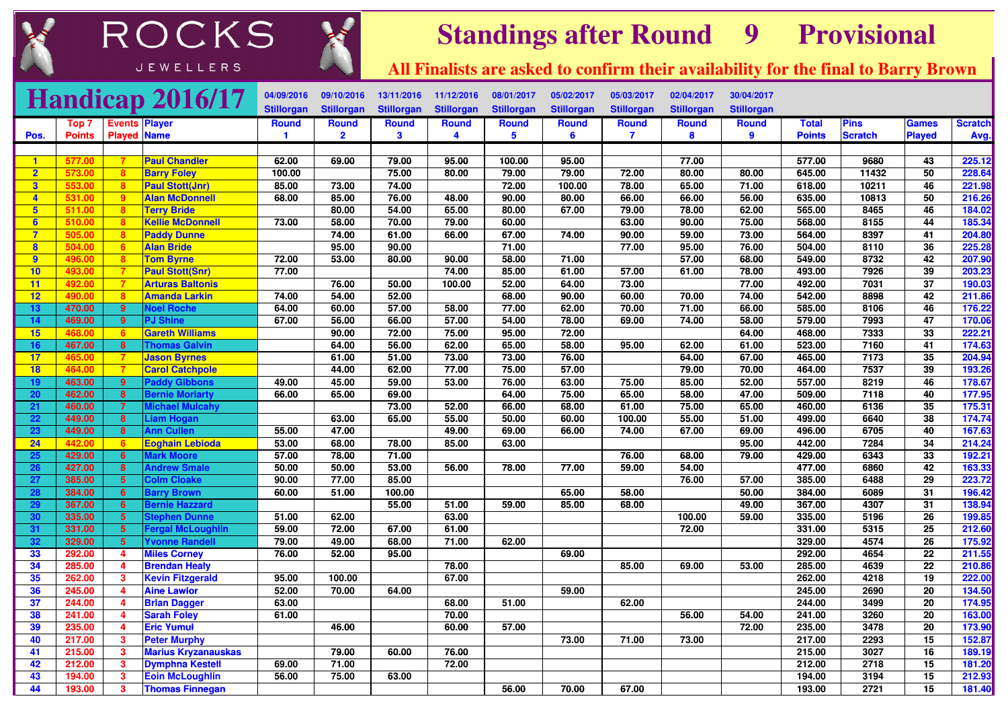



## **Standings after Round <sup>9</sup> Provisional**

**All Finalists are asked to confirm their availability for the final to Barry Brown**

|                         |                  |                                           | <b>Handicap 2016/17</b>                         | 04/09/2016        | 09/10/2016        | 13/11/2016        | 11/12/2016        | 08/01/2017        | 05/02/2017        | 05/03/2017              | 02/04/2017        | 30/04/2017        |                  |                |                       |                  |
|-------------------------|------------------|-------------------------------------------|-------------------------------------------------|-------------------|-------------------|-------------------|-------------------|-------------------|-------------------|-------------------------|-------------------|-------------------|------------------|----------------|-----------------------|------------------|
|                         |                  |                                           |                                                 | <b>Stillorgan</b> | <b>Stillorgan</b> | <b>Stillorgan</b> | <b>Stillorgan</b> | <b>Stillorgan</b> | <b>Stillorgan</b> | <b>Stillorgan</b>       | <b>Stillorgan</b> | <b>Stillorgan</b> |                  |                |                       |                  |
|                         | Top 7            |                                           | <b>Events Player</b>                            | Round             | <b>Round</b>      | <b>Round</b>      | <b>Round</b>      | Round             | <b>Round</b>      | <b>Round</b>            | <b>Round</b>      | <b>Round</b>      | <b>Total</b>     | <b>Pins</b>    | Games                 | <b>Scratch</b>   |
| Pos.                    | <b>Points</b>    |                                           | <b>Played Name</b>                              | 1                 | $\overline{2}$    | $\mathbf{3}$      | 4                 | 5                 | 6                 | $\overline{\mathbf{z}}$ | 8                 | 9                 | <b>Points</b>    | <b>Scratch</b> | <b>Played</b>         | Avg.             |
|                         |                  |                                           |                                                 |                   |                   |                   |                   |                   |                   |                         |                   |                   |                  |                |                       |                  |
| $\blacktriangleleft$    | 577.00           | 7                                         | <b>Paul Chandler</b>                            | 62.00             | 69.00             | 79.00             | 95.00             | 100.00            | 95.00             |                         | 77.00             |                   | 577.00           | 9680           | 43                    | 225.12           |
| $\overline{2}$          | 573.00           | 8                                         | <b>Barry Foley</b>                              | 100.00            |                   | 75.00             | 80.00             | 79.00             | 79.00             | 72.00                   | 80.00             | 80.00             | 645.00           | 11432          | 50                    | 228.64           |
| $\overline{\mathbf{3}}$ | 553.00           | 8                                         | <b>Paul Stott(Jnr)</b>                          | 85.00             | 73.00             | 74.00             |                   | 72.00             | 100.00            | 78.00                   | 65.00             | 71.00             | 618.00           | 10211          | 46                    | 221.98           |
| $\overline{4}$          | 531.00           | $9^{\circ}$                               | <b>Alan McDonnell</b>                           | 68.00             | 85.00             | 76.00             | 48.00             | 90.00             | 80.00             | 66.00                   | 66.00             | 56.00             | 635.00           | 10813          | 50                    | 216.26           |
| $5\overline{)}$         | 511.00           | 8                                         | <b>Terry Bride</b>                              |                   | 80.00             | 54.00             | 65.00             | 80.00             | 67.00             | 79.00                   | 78.00             | 62.00             | 565.00           | 8465           | 46                    | 184.02           |
| 6                       | 510.00           | 8                                         | <b>Kellie McDonnell</b>                         | 73.00             | 58.00             | 70.00             | 79.00             | 60.00             |                   | 63.00                   | 90.00             | 75.00             | 568.00           | 8155           | 44                    | 185.34           |
| $\overline{7}$          | 505.00           | 8 <sup>°</sup>                            | <b>Paddy Dunne</b>                              |                   | 74.00             | 61.00             | 66.00             | 67.00             | 74.00             | 90.00                   | 59.00             | 73.00             | 564.00           | 8397           | 41                    | 204.80           |
| $\boldsymbol{8}$        | 504.00           | $6^{\circ}$                               | <b>Alan Bride</b>                               |                   | 95.00             | 90.00             |                   | 71.00             |                   | 77.00                   | 95.00             | 76.00             | 504.00           | 8110           | 36                    | 225.28           |
| $\overline{9}$          | 496.00           | 8                                         | <b>Tom Byrne</b>                                | 72.00             | 53.00             | 80.00             | 90.00             | 58.00             | 71.00             |                         | 57.00             | 68.00             | 549.00           | 8732           | 42                    | 207.90           |
| 10                      | 493.00           | $\overline{7}$                            | <b>Paul Stott(Snr)</b>                          | 77.00             |                   |                   | 74.00             | 85.00             | 61.00             | 57.00                   | 61.00             | 78.00             | 493.00           | 7926           | 39                    | 203.23           |
| 11                      | 492.00           | 7                                         | <b>Arturas Baltonis</b>                         |                   | 76.00             | 50.00             | 100.00            | 52.00             | 64.00             | 73.00                   |                   | 77.00             | 492.00           | 7031           | 37                    | 190.03           |
| 12                      | 490.00           | 8                                         | <b>Amanda Larkin</b>                            | 74.00             | 54.00             | 52.00             |                   | 68.00             | 90.00             | 60.00                   | 70.00             | 74.00             | 542.00           | 8898           | 42                    | 211.86           |
| 13                      | 470.00           | 9                                         | <b>Voel Roche</b>                               | 64.00             | 60.00             | 57.00             | 58.00             | 77.00             | 62.00             | 70.00                   | 71.00             | 66.00             | 585.00           | 8106           | 46                    | 176.22           |
| 14                      | 469.00           | $\overline{9}$                            | <b>PJ Shine</b>                                 | 67.00             | 56.00             | 66.00             | 57.00             | 54.00             | 78.00             | 69.00                   | 74.00             | 58.00             | 579.00           | 7993           | $\overline{47}$       | 170.06           |
| 15                      | 468.00           | 6 <sup>1</sup>                            | <b>Gareth Williams</b>                          |                   | 90.00             | 72.00             | 75.00             | 95.00             | 72.00             |                         |                   | 64.00             | 468.00           | 7333           | 33                    | 222.21           |
| 16                      | 467.00           | 8                                         | <b>Thomas Galvin</b>                            |                   | 64.00             | 56.00             | 62.00             | 65.00             | 58.00             | 95.00                   | 62.00             | 61.00             | 523.00           | 7160           | 41                    | 174.63           |
| 17                      | 465.00           | $\overline{7}$                            | <b>Jason Byrnes</b>                             |                   | 61.00             | 51.00             | 73.00             | 73.00             | 76.00             |                         | 64.00             | 67.00             | 465.00           | 7173           | 35                    | 204.94           |
| 18                      | 464.00           | $\overline{7}$                            | <b>Carol Catchpole</b>                          |                   | 44.00             | 62.00             | 77.00             | 75.00             | 57.00             |                         | 79.00             | 70.00             | 464.00           | 7537           | 39                    | 193.26           |
| 19                      | 463.00           | 9                                         | <b>Paddy Gibbons</b>                            | 49.00             | 45.00             | 59.00             | 53.00             | 76.00             | 63.00             | 75.00                   | 85.00             | 52.00             | 557.00           | 8219           | 46                    | 178.67           |
| 20                      | 462.00           | $\bf{8}$                                  | <b>Bernie Moriarty</b>                          | 66.00             | 65.00             | 69.00             |                   | 64.00             | 75.00             | 65.00                   | 58.00             | 47.00             | 509.00           | 7118           | 40                    | 177.95           |
| 21                      | 460.00           | $\overline{7}$                            | <b>lichael Mulcahy</b>                          |                   |                   | 73.00             | 52.00             | 66.00             | 68.00             | 61.00                   | 75.00             | 65.00             | 460.00           | 6136           | 35                    | 175.31           |
| 22                      | 449.00           | $\overline{\mathbf{8}}$                   | Liam Hogan                                      |                   | 63.00             | 65.00             | 55.00             | 50.00             | 60.00             | 100.00                  | 55.00             | 51.00             | 499.00           | 6640           | 38                    | 174.74           |
| <b>23</b>               | 449.00           | $\bf{8}$                                  | <b>Ann Cullen</b>                               | 55.00             | 47.00             |                   | 49.00             | 69.00             | 66.00             | 74.00                   | 67.00             | 69.00             | 496.00           | 6705           | 40                    | 167.63           |
| 24                      | 442.00           | 6 <sup>1</sup>                            | <b>Eoghain Lebioda</b>                          | 53.00             | 68.00             | 78.00             | 85.00             | 63.00             |                   |                         |                   | 95.00             | 442.00           | 7284           | 34                    | 214.24           |
| 25                      | 429.00           | 6                                         | <b>Mark Moore</b>                               | 57.00             | 78.00             | 71.00             |                   |                   |                   | 76.00                   | 68.00             | 79.00             | 429.00           | 6343           | 33                    | 192.21           |
| <b>26</b>               | 427.00           | $\bf{8}$                                  | <b>Andrew Smale</b>                             | 50.00             | 50.00             | 53.00             | 56.00             | 78.00             | 77.00             | 59.00                   | 54.00             |                   | 477.00           | 6860           | $\overline{42}$       | 163.33           |
| 27                      | 385.00           | 5 <sup>5</sup>                            | <b>Colm Cloake</b>                              | 90.00             | 77.00             | 85.00             |                   |                   |                   |                         | 76.00             | 57.00             | 385.00           | 6488           | 29                    | 223.72           |
| 28                      | 384.00           | $6\overline{6}$                           | <b>Barry Brown</b>                              | 60.00             | 51.00             | 100.00            |                   |                   | 65.00             | 58.00                   |                   | 50.00             | 384.00           | 6089           | 31                    | 196.42           |
| 29                      | 367.00           | $6\overline{6}$                           | <b>Bernie Hazzard</b>                           |                   |                   | 55.00             | 51.00             | 59.00             | 85.00             | 68.00                   |                   | 49.00             | 367.00           | 4307           | 31                    | 138.94           |
| 30                      | 335.00           | 5 <sup>5</sup>                            | <b>Stephen Dunne</b>                            | 51.00             | 62.00             |                   | 63.00             |                   |                   |                         | 100.00            | 59.00             | 335.00           | 5196           | 26                    | 199.85           |
| 31                      | 331.00           | 5 <sup>5</sup><br>5 <sup>5</sup>          | Fergal McLoughlin                               | 59.00             | 72.00             | 67.00             | 61.00             |                   |                   |                         | 72.00             |                   | 331.00           | 5315<br>4574   | 25                    | 212.60<br>175.92 |
| 32                      | 329.00           |                                           | <b>Yvonne Randel</b>                            | 79.00             | 49.00             | 68.00             | 71.00             | 62.00             |                   |                         |                   |                   | 329.00           |                | $\overline{26}$<br>22 |                  |
| 33                      | 292.00           | $\overline{\mathbf{4}}$<br>$\overline{4}$ | <b>Miles Corney</b>                             | 76.00             | 52.00             | 95.00             |                   |                   | 69.00             |                         |                   | 53.00             | 292.00           | 4654<br>4639   | 22                    | 211.55           |
| 34<br>35                | 285.00           |                                           | <b>Brendan Healy</b><br><b>Kevin Fitzgerald</b> |                   | 100.00            |                   | 78.00<br>67.00    |                   |                   | 85.00                   | 69.00             |                   | 285.00<br>262.00 | 4218           | 19                    | 210.86<br>222.00 |
| 36                      | 262.00<br>245.00 | 3<br>$\overline{\mathbf{4}}$              | <b>Aine Lawlor</b>                              | 95.00<br>52.00    | 70.00             | 64.00             |                   |                   | 59.00             |                         |                   |                   | 245.00           | 2690           | 20                    | 134.50           |
|                         |                  |                                           |                                                 |                   |                   |                   |                   | 51.00             |                   | 62.00                   |                   |                   |                  |                | 20                    |                  |
| 37<br>38                | 244.00<br>241.00 | 4<br>$\overline{4}$                       | <b>Brian Dagger</b><br><b>Sarah Foley</b>       | 63.00<br>61.00    |                   |                   | 68.00<br>70.00    |                   |                   |                         | 56.00             | 54.00             | 244.00<br>241.00 | 3499<br>3260   | $\overline{20}$       | 174.95<br>163.00 |
| 39                      | 235.00           | 4                                         | <b>Eric Yumul</b>                               |                   | 46.00             |                   | 60.00             | 57.00             |                   |                         |                   | 72.00             | 235.00           | 3478           | 20                    | 173.90           |
| 40                      | 217.00           | 3 <sup>1</sup>                            | <b>Peter Murphy</b>                             |                   |                   |                   |                   |                   | 73.00             | 71.00                   | 73.00             |                   | 217.00           | 2293           | 15                    | 152.87           |
| 41                      | 215.00           | 3                                         | <b>Marius Kryzanauskas</b>                      |                   | 79.00             | 60.00             | 76.00             |                   |                   |                         |                   |                   | 215.00           | 3027           | $\overline{16}$       | 189.19           |
| 42                      | 212.00           | $\mathbf{3}$                              | <b>Dymphna Kestell</b>                          | 69.00             | 71.00             |                   | 72.00             |                   |                   |                         |                   |                   | 212.00           | 2718           | 15                    | 181.20           |
| 43                      | 194.00           | 3                                         | <b>Eoin McLoughlin</b>                          | 56.00             | 75.00             | 63.00             |                   |                   |                   |                         |                   |                   | 194.00           | 3194           | 15                    | 212.93           |
| 44                      | 193.00           | 3                                         | <b>Thomas Finnegan</b>                          |                   |                   |                   |                   | 56.00             | 70.00             | 67.00                   |                   |                   | 193.00           | 2721           | $\overline{15}$       | 181.40           |
|                         |                  |                                           |                                                 |                   |                   |                   |                   |                   |                   |                         |                   |                   |                  |                |                       |                  |